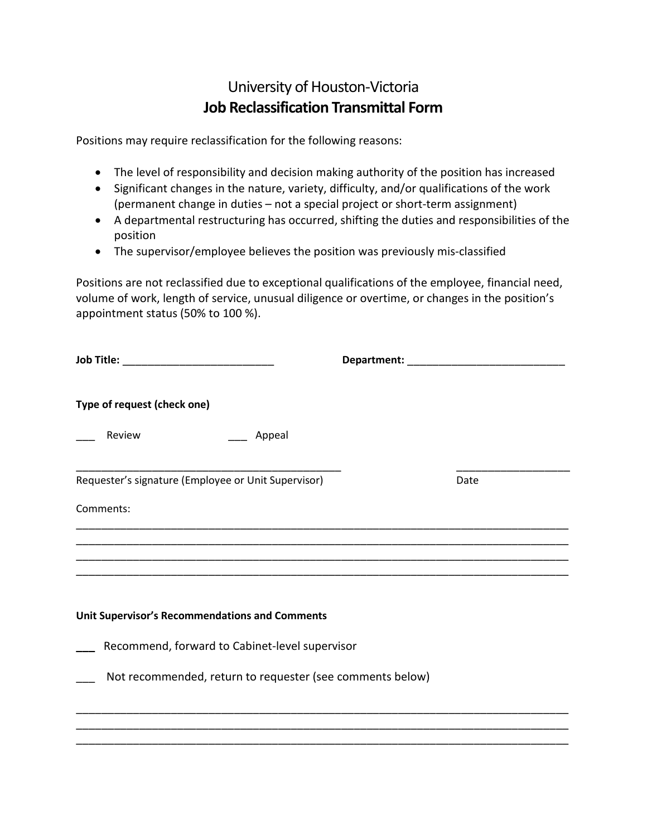## University of Houston-Victoria **Job Reclassification Transmittal Form**

Positions may require reclassification for the following reasons:

- The level of responsibility and decision making authority of the position has increased
- Significant changes in the nature, variety, difficulty, and/or qualifications of the work (permanent change in duties – not a special project or short-term assignment)
- A departmental restructuring has occurred, shifting the duties and responsibilities of the position
- The supervisor/employee believes the position was previously mis-classified

Positions are not reclassified due to exceptional qualifications of the employee, financial need, volume of work, length of service, unusual diligence or overtime, or changes in the position's appointment status (50% to 100 %).

| Type of request (check one)                               |      |
|-----------------------------------------------------------|------|
| Review<br>Appeal                                          |      |
| Requester's signature (Employee or Unit Supervisor)       | Date |
| Comments:                                                 |      |
|                                                           |      |
|                                                           |      |
|                                                           |      |
| <b>Unit Supervisor's Recommendations and Comments</b>     |      |
| Recommend, forward to Cabinet-level supervisor            |      |
| Not recommended, return to requester (see comments below) |      |
|                                                           |      |
|                                                           |      |